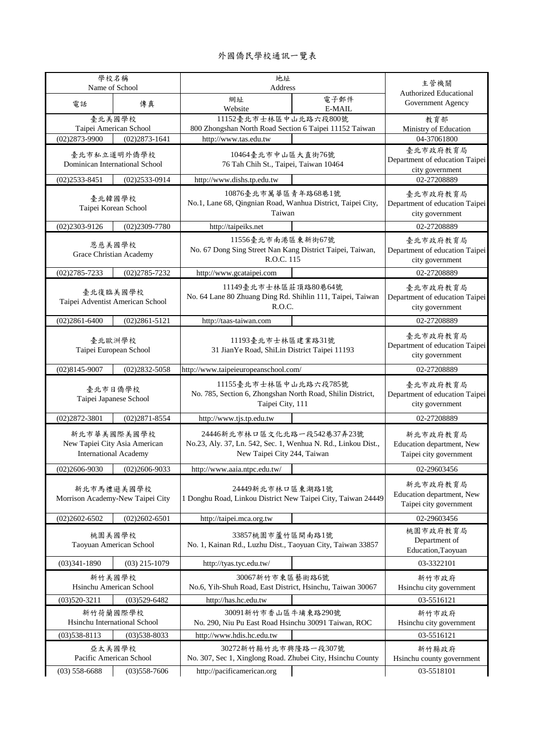## 外國僑民學校通訊一覽表

| 學校名稱<br>Name of School                                                       |                        | 地址<br>Address                                                                                                               |        | 主管機關                                                            |
|------------------------------------------------------------------------------|------------------------|-----------------------------------------------------------------------------------------------------------------------------|--------|-----------------------------------------------------------------|
|                                                                              |                        | 網址                                                                                                                          | 電子郵件   | Authorized Educational                                          |
| 電話                                                                           | 傳真                     | Website                                                                                                                     | E-MAIL | Government Agency                                               |
| 臺北美國學校                                                                       |                        | 11152臺北市士林區中山北路六段800號                                                                                                       |        | 教育部                                                             |
|                                                                              | Taipei American School | 800 Zhongshan North Road Section 6 Taipei 11152 Taiwan                                                                      |        | Ministry of Education                                           |
| $(02)2873 - 9900$                                                            | $(02)2873 - 1641$      | http://www.tas.edu.tw                                                                                                       |        | 04-37061800                                                     |
| 臺北市私立道明外僑學校<br>Dominican International School                                |                        | 10464臺北市中山區大直街76號<br>76 Tah Chih St., Taipei, Taiwan 10464                                                                  |        | 臺北市政府教育局<br>Department of education Taipei<br>city government   |
| $(02)2533 - 8451$                                                            | $(02)2533 - 0914$      | http://www.dishs.tp.edu.tw                                                                                                  |        | 02-27208889                                                     |
| 臺北韓國學校<br>Taipei Korean School                                               |                        | 10876臺北市萬華區青年路68巷1號<br>No.1, Lane 68, Qingnian Road, Wanhua District, Taipei City,<br>Taiwan                                |        | 臺北市政府教育局<br>Department of education Taipei<br>city government   |
| $(02)2303 - 9126$                                                            | $(02)2309 - 7780$      | http://taipeiks.net                                                                                                         |        | 02-27208889                                                     |
| 恩慈美國學校<br>Grace Christian Academy                                            |                        | 11556臺北市南港區東新街67號<br>No. 67 Dong Sing Street Nan Kang District Taipei, Taiwan,<br>R.O.C. 115                                |        | 臺北市政府教育局<br>Department of education Taipei<br>city government   |
| $(02)2785 - 7233$                                                            | $(02)2785 - 7232$      | http://www.gcataipei.com                                                                                                    |        | 02-27208889                                                     |
| 臺北復臨美國學校<br>Taipei Adventist American School                                 |                        | 11149臺北市士林區莊頂路80巷64號<br>No. 64 Lane 80 Zhuang Ding Rd. Shihlin 111, Taipei, Taiwan<br>R.O.C.                                |        | 臺北市政府教育局<br>Department of education Taipei<br>city government   |
| $(02)2861 - 6400$                                                            | $(02)2861 - 5121$      | http://taas-taiwan.com                                                                                                      |        | 02-27208889                                                     |
| 臺北歐洲學校<br>Taipei European School                                             |                        | 11193臺北市士林區建業路31號<br>31 Jian Ye Road, ShiLin District Taipei 11193                                                          |        | 臺北市政府教育局<br>Department of education Taipei<br>city government   |
| $(02)8145 - 9007$                                                            | $(02)2832 - 5058$      | http://www.taipeieuropeanschool.com/                                                                                        |        | 02-27208889                                                     |
| 臺北市日僑學校<br>Taipei Japanese School                                            |                        | 11155毫北市士林區中山北路六段785號<br>No. 785, Section 6, Zhongshan North Road, Shilin District,<br>Taipei City, 111                     |        | 臺北市政府教育局<br>Department of education Taipei<br>city government   |
| $(02)2872 - 3801$                                                            | $(02)2871 - 8554$      | http://www.tjs.tp.edu.tw                                                                                                    |        | 02-27208889                                                     |
| 新北市華美國際美國學校<br>New Tapiei City Asia American<br><b>International Academy</b> |                        | 24446新北市林口區文化北路一段542巷37弄23號<br>No.23, Aly. 37, Ln. 542, Sec. 1, Wenhua N. Rd., Linkou Dist.,<br>New Taipei City 244, Taiwan |        | 新北市政府教育局<br>Education department, New<br>Taipei city government |
| $(02)2606 - 9030$                                                            | $(02)2606 - 9033$      | http://www.aaia.ntpc.edu.tw/                                                                                                |        | 02-29603456                                                     |
| 新北市馬禮遜美國學校<br>Morrison Academy-New Taipei City                               |                        | 24449新北市林口區東湖路1號<br>1 Donghu Road, Linkou District New Taipei City, Taiwan 24449                                            |        | 新北市政府教育局<br>Education department, New<br>Taipei city government |
| $(02)2602 - 6502$                                                            | $(02)2602 - 6501$      | http://taipei.mca.org.tw                                                                                                    |        | 02-29603456                                                     |
| 桃園美國學校<br>Taoyuan American School                                            |                        | 33857桃園市蘆竹區開南路1號<br>No. 1, Kainan Rd., Luzhu Dist., Taoyuan City, Taiwan 33857                                              |        | 桃園市政府教育局<br>Department of<br>Education, Taoyuan                 |
| $(03)341-1890$                                                               | $(03)$ 215-1079        | http://tyas.tyc.edu.tw/                                                                                                     |        | 03-3322101                                                      |
| 新竹美國學校<br>Hsinchu American School                                            |                        | 30067新竹市東區藝術路6號<br>No.6, Yih-Shuh Road, East District, Hsinchu, Taiwan 30067                                                |        | 新竹市政府<br>Hsinchu city government                                |
| $(03)520 - 3211$<br>$(03)529 - 6482$                                         |                        | http://has.hc.edu.tw                                                                                                        |        | 03-5516121                                                      |
| 新竹荷蘭國際學校<br>Hsinchu International School                                     |                        | 30091新竹市香山區牛埔東路290號<br>No. 290, Niu Pu East Road Hsinchu 30091 Taiwan, ROC                                                  |        | 新竹市政府<br>Hsinchu city government                                |
| $(03)538 - 8113$                                                             | $(03)$ 538-8033        | http://www.hdis.hc.edu.tw                                                                                                   |        | 03-5516121                                                      |
| 亞太美國學校<br>Pacific American School                                            |                        | 30272新竹縣竹北市興隆路一段307號<br>No. 307, Sec 1, Xinglong Road. Zhubei City, Hsinchu County<br>http://pacificamerican.org            |        | 新竹縣政府<br>Hsinchu county government<br>03-5518101                |
| $(03)$ 558-6688                                                              | $(03)$ 558-7606        |                                                                                                                             |        |                                                                 |